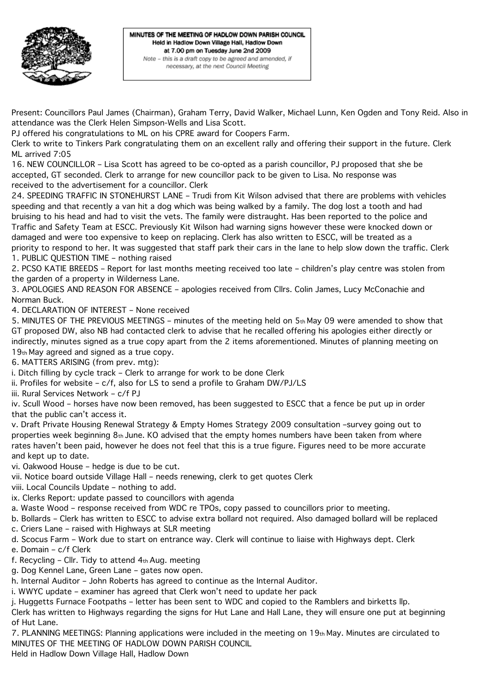

Present: Councillors Paul James (Chairman), Graham Terry, David Walker, Michael Lunn, Ken Ogden and Tony Reid. Also in attendance was the Clerk Helen Simpson-Wells and Lisa Scott.

PJ offered his congratulations to ML on his CPRE award for Coopers Farm.

Clerk to write to Tinkers Park congratulating them on an excellent rally and offering their support in the future. Clerk ML arrived 7:05

16. NEW COUNCILLOR – Lisa Scott has agreed to be co-opted as a parish councillor, PJ proposed that she be accepted, GT seconded. Clerk to arrange for new councillor pack to be given to Lisa. No response was received to the advertisement for a councillor. Clerk

24. SPEEDING TRAFFIC IN STONEHURST LANE – Trudi from Kit Wilson advised that there are problems with vehicles speeding and that recently a van hit a dog which was being walked by a family. The dog lost a tooth and had bruising to his head and had to visit the vets. The family were distraught. Has been reported to the police and Traffic and Safety Team at ESCC. Previously Kit Wilson had warning signs however these were knocked down or damaged and were too expensive to keep on replacing. Clerk has also written to ESCC, will be treated as a priority to respond to her. It was suggested that staff park their cars in the lane to help slow down the traffic. Clerk 1. PUBLIC QUESTION TIME – nothing raised

2. PCSO KATIE BREEDS – Report for last months meeting received too late – children's play centre was stolen from the garden of a property in Wilderness Lane.

3. APOLOGIES AND REASON FOR ABSENCE – apologies received from Cllrs. Colin James, Lucy McConachie and Norman Buck.

4. DECLARATION OF INTEREST – None received

5. MINUTES OF THE PREVIOUS MEETINGS – minutes of the meeting held on 5th May 09 were amended to show that GT proposed DW, also NB had contacted clerk to advise that he recalled offering his apologies either directly or indirectly, minutes signed as a true copy apart from the 2 items aforementioned. Minutes of planning meeting on 19th May agreed and signed as a true copy.

6. MATTERS ARISING (from prev. mtg):

i. Ditch filling by cycle track – Clerk to arrange for work to be done Clerk

ii. Profiles for website – c/f, also for LS to send a profile to Graham DW/PJ/LS

iii. Rural Services Network – c/f PJ

iv. Scull Wood – horses have now been removed, has been suggested to ESCC that a fence be put up in order that the public can't access it.

v. Draft Private Housing Renewal Strategy & Empty Homes Strategy 2009 consultation –survey going out to properties week beginning 8th June. KO advised that the empty homes numbers have been taken from where rates haven't been paid, however he does not feel that this is a true figure. Figures need to be more accurate and kept up to date.

vi. Oakwood House – hedge is due to be cut.

vii. Notice board outside Village Hall – needs renewing, clerk to get quotes Clerk

viii. Local Councils Update – nothing to add.

ix. Clerks Report: update passed to councillors with agenda

a. Waste Wood – response received from WDC re TPOs, copy passed to councillors prior to meeting.

b. Bollards – Clerk has written to ESCC to advise extra bollard not required. Also damaged bollard will be replaced

- c. Criers Lane raised with Highways at SLR meeting
- d. Scocus Farm Work due to start on entrance way. Clerk will continue to liaise with Highways dept. Clerk

e. Domain – c/f Clerk

f. Recycling – Cllr. Tidy to attend 4th Aug. meeting

g. Dog Kennel Lane, Green Lane – gates now open.

h. Internal Auditor – John Roberts has agreed to continue as the Internal Auditor.

i. WWYC update – examiner has agreed that Clerk won't need to update her pack

j. Huggetts Furnace Footpaths – letter has been sent to WDC and copied to the Ramblers and birketts llp.

Clerk has written to Highways regarding the signs for Hut Lane and Hall Lane, they will ensure one put at beginning of Hut Lane.

7. PLANNING MEETINGS: Planning applications were included in the meeting on 19th May. Minutes are circulated to MINUTES OF THE MEETING OF HADLOW DOWN PARISH COUNCIL

Held in Hadlow Down Village Hall, Hadlow Down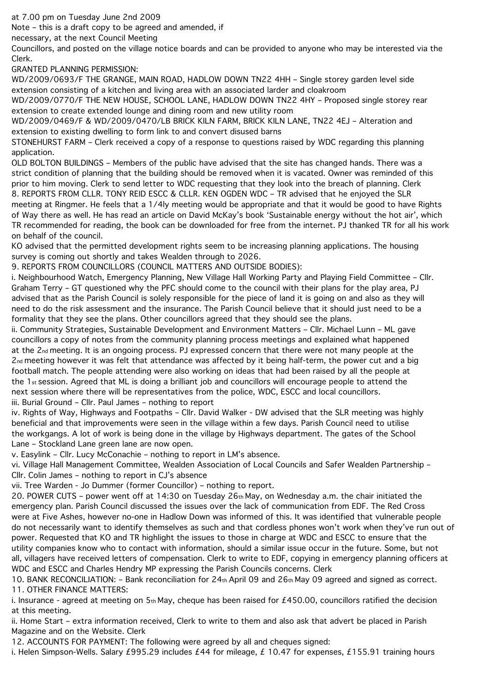at 7.00 pm on Tuesday June 2nd 2009

Note – this is a draft copy to be agreed and amended, if

necessary, at the next Council Meeting

Councillors, and posted on the village notice boards and can be provided to anyone who may be interested via the Clerk.

GRANTED PLANNING PERMISSION:

WD/2009/0693/F THE GRANGE, MAIN ROAD, HADLOW DOWN TN22 4HH – Single storey garden level side extension consisting of a kitchen and living area with an associated larder and cloakroom

WD/2009/0770/F THE NEW HOUSE, SCHOOL LANE, HADLOW DOWN TN22 4HY – Proposed single storey rear extension to create extended lounge and dining room and new utility room

WD/2009/0469/F & WD/2009/0470/LB BRICK KILN FARM, BRICK KILN LANE, TN22 4EJ – Alteration and extension to existing dwelling to form link to and convert disused barns

STONEHURST FARM – Clerk received a copy of a response to questions raised by WDC regarding this planning application.

OLD BOLTON BUILDINGS – Members of the public have advised that the site has changed hands. There was a strict condition of planning that the building should be removed when it is vacated. Owner was reminded of this prior to him moving. Clerk to send letter to WDC requesting that they look into the breach of planning. Clerk 8. REPORTS FROM CLLR. TONY REID ESCC & CLLR. KEN OGDEN WDC – TR advised that he enjoyed the SLR meeting at Ringmer. He feels that a 1/4ly meeting would be appropriate and that it would be good to have Rights of Way there as well. He has read an article on David McKay's book 'Sustainable energy without the hot air', which TR recommended for reading, the book can be downloaded for free from the internet. PJ thanked TR for all his work on behalf of the council.

KO advised that the permitted development rights seem to be increasing planning applications. The housing survey is coming out shortly and takes Wealden through to 2026.

9. REPORTS FROM COUNCILLORS (COUNCIL MATTERS AND OUTSIDE BODIES):

i. Neighbourhood Watch, Emergency Planning, New Village Hall Working Party and Playing Field Committee – Cllr. Graham Terry – GT questioned why the PFC should come to the council with their plans for the play area, PJ advised that as the Parish Council is solely responsible for the piece of land it is going on and also as they will need to do the risk assessment and the insurance. The Parish Council believe that it should just need to be a formality that they see the plans. Other councillors agreed that they should see the plans.

ii. Community Strategies, Sustainable Development and Environment Matters – Cllr. Michael Lunn – ML gave councillors a copy of notes from the community planning process meetings and explained what happened at the 2nd meeting. It is an ongoing process. PJ expressed concern that there were not many people at the 2nd meeting however it was felt that attendance was affected by it being half-term, the power cut and a big football match. The people attending were also working on ideas that had been raised by all the people at the 1st session. Agreed that ML is doing a brilliant job and councillors will encourage people to attend the next session where there will be representatives from the police, WDC, ESCC and local councillors. iii. Burial Ground – Cllr. Paul James – nothing to report

iv. Rights of Way, Highways and Footpaths – Cllr. David Walker - DW advised that the SLR meeting was highly beneficial and that improvements were seen in the village within a few days. Parish Council need to utilise the workgangs. A lot of work is being done in the village by Highways department. The gates of the School Lane – Stockland Lane green lane are now open.

v. Easylink – Cllr. Lucy McConachie – nothing to report in LM's absence.

vi. Village Hall Management Committee, Wealden Association of Local Councils and Safer Wealden Partnership – Cllr. Colin James – nothing to report in CJ's absence

vii. Tree Warden - Jo Dummer (former Councillor) – nothing to report.

20. POWER CUTS – power went off at 14:30 on Tuesday 26th May, on Wednesday a.m. the chair initiated the emergency plan. Parish Council discussed the issues over the lack of communication from EDF. The Red Cross were at Five Ashes, however no-one in Hadlow Down was informed of this. It was identified that vulnerable people do not necessarily want to identify themselves as such and that cordless phones won't work when they've run out of power. Requested that KO and TR highlight the issues to those in charge at WDC and ESCC to ensure that the utility companies know who to contact with information, should a similar issue occur in the future. Some, but not all, villagers have received letters of compensation. Clerk to write to EDF, copying in emergency planning officers at WDC and ESCC and Charles Hendry MP expressing the Parish Councils concerns. Clerk

10. BANK RECONCILIATION: – Bank reconciliation for 24th April 09 and 26th May 09 agreed and signed as correct. 11. OTHER FINANCE MATTERS:

i. Insurance - agreed at meeting on  $5<sub>th</sub>$  May, cheque has been raised for £450.00, councillors ratified the decision at this meeting.

ii. Home Start – extra information received, Clerk to write to them and also ask that advert be placed in Parish Magazine and on the Website. Clerk

12. ACCOUNTS FOR PAYMENT: The following were agreed by all and cheques signed:

i. Helen Simpson-Wells. Salary £995.29 includes £44 for mileage, £10.47 for expenses, £155.91 training hours